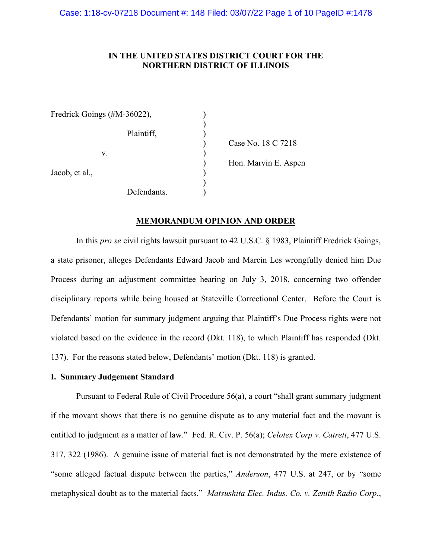# **IN THE UNITED STATES DISTRICT COURT FOR THE NORTHERN DISTRICT OF ILLINOIS**

| Fredrick Goings (#M-36022), |             |                      |
|-----------------------------|-------------|----------------------|
|                             | Plaintiff,  |                      |
|                             |             | Case No. 18 C 7218   |
| v.                          |             |                      |
|                             |             | Hon. Marvin E. Aspen |
| Jacob, et al.,              |             |                      |
|                             |             |                      |
|                             | Defendants. |                      |

## **MEMORANDUM OPINION AND ORDER**

In this *pro se* civil rights lawsuit pursuant to 42 U.S.C. § 1983, Plaintiff Fredrick Goings, a state prisoner, alleges Defendants Edward Jacob and Marcin Les wrongfully denied him Due Process during an adjustment committee hearing on July 3, 2018, concerning two offender disciplinary reports while being housed at Stateville Correctional Center. Before the Court is Defendants' motion for summary judgment arguing that Plaintiff's Due Process rights were not violated based on the evidence in the record (Dkt. 118), to which Plaintiff has responded (Dkt. 137). For the reasons stated below, Defendants' motion (Dkt. 118) is granted.

# **I. Summary Judgement Standard**

Pursuant to Federal Rule of Civil Procedure 56(a), a court "shall grant summary judgment if the movant shows that there is no genuine dispute as to any material fact and the movant is entitled to judgment as a matter of law." Fed. R. Civ. P. 56(a); *Celotex Corp v. Catrett*, 477 U.S. 317, 322 (1986). A genuine issue of material fact is not demonstrated by the mere existence of "some alleged factual dispute between the parties," *Anderson*, 477 U.S. at 247, or by "some metaphysical doubt as to the material facts." *Matsushita Elec. Indus. Co. v. Zenith Radio Corp.*,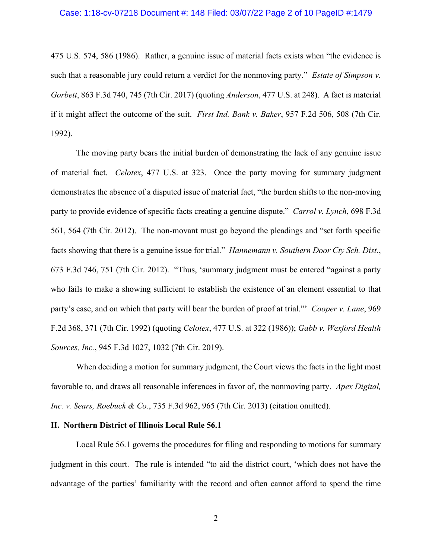#### Case: 1:18-cv-07218 Document #: 148 Filed: 03/07/22 Page 2 of 10 PageID #:1479

475 U.S. 574, 586 (1986). Rather, a genuine issue of material facts exists when "the evidence is such that a reasonable jury could return a verdict for the nonmoving party." *Estate of Simpson v. Gorbett*, 863 F.3d 740, 745 (7th Cir. 2017) (quoting *Anderson*, 477 U.S. at 248). A fact is material if it might affect the outcome of the suit. *First Ind. Bank v. Baker*, 957 F.2d 506, 508 (7th Cir. 1992).

The moving party bears the initial burden of demonstrating the lack of any genuine issue of material fact. *Celotex*, 477 U.S. at 323. Once the party moving for summary judgment demonstrates the absence of a disputed issue of material fact, "the burden shifts to the non-moving party to provide evidence of specific facts creating a genuine dispute." *Carrol v. Lynch*, 698 F.3d 561, 564 (7th Cir. 2012). The non-movant must go beyond the pleadings and "set forth specific facts showing that there is a genuine issue for trial." *Hannemann v. Southern Door Cty Sch. Dist.*, 673 F.3d 746, 751 (7th Cir. 2012). "Thus, 'summary judgment must be entered "against a party who fails to make a showing sufficient to establish the existence of an element essential to that party's case, and on which that party will bear the burden of proof at trial."' *Cooper v. Lane*, 969 F.2d 368, 371 (7th Cir. 1992) (quoting *Celotex*, 477 U.S. at 322 (1986)); *Gabb v. Wexford Health Sources, Inc.*, 945 F.3d 1027, 1032 (7th Cir. 2019).

When deciding a motion for summary judgment, the Court views the facts in the light most favorable to, and draws all reasonable inferences in favor of, the nonmoving party. *Apex Digital, Inc. v. Sears, Roebuck & Co.*, 735 F.3d 962, 965 (7th Cir. 2013) (citation omitted).

### **II. Northern District of Illinois Local Rule 56.1**

Local Rule 56.1 governs the procedures for filing and responding to motions for summary judgment in this court. The rule is intended "to aid the district court, 'which does not have the advantage of the parties' familiarity with the record and often cannot afford to spend the time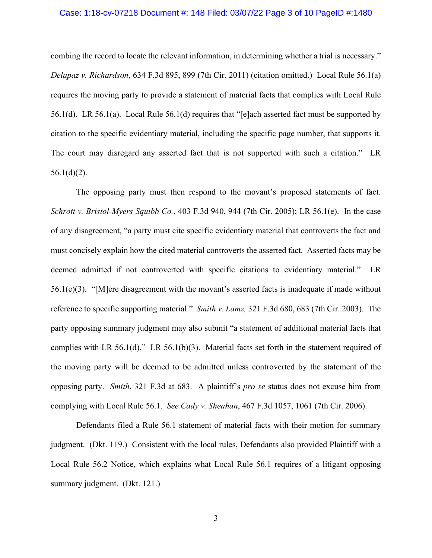#### Case: 1:18-cv-07218 Document #: 148 Filed: 03/07/22 Page 3 of 10 PageID #:1480

combing the record to locate the relevant information, in determining whether a trial is necessary." *Delapaz v. Richardson*, 634 F.3d 895, 899 (7th Cir. 2011) (citation omitted.) Local Rule 56.1(a) requires the moving party to provide a statement of material facts that complies with Local Rule 56.1(d). LR 56.1(a). Local Rule 56.1(d) requires that "[e]ach asserted fact must be supported by citation to the specific evidentiary material, including the specific page number, that supports it. The court may disregard any asserted fact that is not supported with such a citation." LR  $56.1(d)(2)$ .

The opposing party must then respond to the movant's proposed statements of fact. *Schrott v. Bristol-Myers Squibb Co.*[, 403 F.3d 940, 944 \(7th Cir. 2005\);](https://web2.westlaw.com/find/default.wl?mt=Westlaw&db=0000506&tc=-1&rp=%2ffind%2fdefault.wl&findtype=Y&ordoc=2036243492&serialnum=2006464425&vr=2.0&fn=_top&sv=Split&tf=-1&referencepositiontype=S&pbc=5AA5E9CC&referenceposition=944&rs=WLW15.04) LR 56.1(e). In the case of any disagreement, "a party must cite specific evidentiary material that controverts the fact and must concisely explain how the cited material controverts the asserted fact. Asserted facts may be deemed admitted if not controverted with specific citations to evidentiary material." LR 56.1(e)(3). "[M]ere disagreement with the movant's asserted facts is inadequate if made without reference to specific supporting material." *Smith v. Lamz,* [321 F.3d 680, 683 \(7th Cir. 2003\).](https://web2.westlaw.com/find/default.wl?mt=Westlaw&db=0000506&tc=-1&rp=%2ffind%2fdefault.wl&findtype=Y&ordoc=2036243492&serialnum=2003193643&vr=2.0&fn=_top&sv=Split&tf=-1&referencepositiontype=S&pbc=5AA5E9CC&referenceposition=683&rs=WLW15.04) The party opposing summary judgment may also submit "a statement of additional material facts that complies with LR 56.1(d)." LR 56.1(b)(3). Material facts set forth in the statement required of the moving party will be deemed to be admitted unless controverted by the statement of the opposing party. *Smith*, 321 F.3d at 683. A plaintiff's *pro se* status does not excuse him from complying with Local Rule 56.1. *See Cady v. Sheahan*, 467 F.3d 1057, 1061 (7th Cir. 2006).

Defendants filed a Rule 56.1 statement of material facts with their motion for summary judgment. (Dkt. 119.) Consistent with the local rules, Defendants also provided Plaintiff with a Local Rule 56.2 Notice, which explains what Local Rule 56.1 requires of a litigant opposing summary judgment. (Dkt. 121.)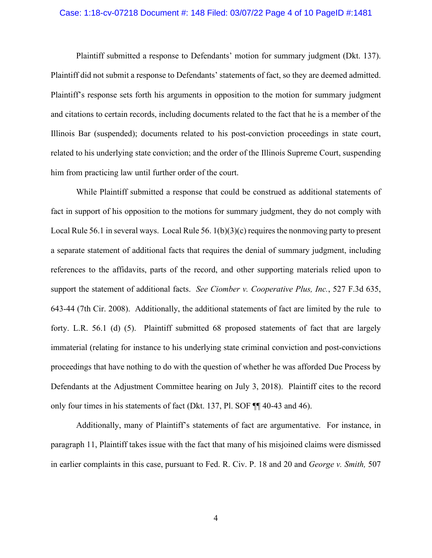#### Case: 1:18-cv-07218 Document #: 148 Filed: 03/07/22 Page 4 of 10 PageID #:1481

Plaintiff submitted a response to Defendants' motion for summary judgment (Dkt. 137). Plaintiff did not submit a response to Defendants' statements of fact, so they are deemed admitted. Plaintiff's response sets forth his arguments in opposition to the motion for summary judgment and citations to certain records, including documents related to the fact that he is a member of the Illinois Bar (suspended); documents related to his post-conviction proceedings in state court, related to his underlying state conviction; and the order of the Illinois Supreme Court, suspending him from practicing law until further order of the court.

While Plaintiff submitted a response that could be construed as additional statements of fact in support of his opposition to the motions for summary judgment, they do not comply with Local Rule 56.1 in several ways. Local Rule 56. 1(b)(3)(c) requires the nonmoving party to present a separate statement of additional facts that requires the denial of summary judgment, including references to the affidavits, parts of the record, and other supporting materials relied upon to support the statement of additional facts. *See Ciomber v. Cooperative Plus, Inc.*, 527 F.3d 635, 643-44 (7th Cir. 2008). Additionally, the additional statements of fact are limited by the rule to forty. L.R. 56.1 (d) (5). Plaintiff submitted 68 proposed statements of fact that are largely immaterial (relating for instance to his underlying state criminal conviction and post-convictions proceedings that have nothing to do with the question of whether he was afforded Due Process by Defendants at the Adjustment Committee hearing on July 3, 2018). Plaintiff cites to the record only four times in his statements of fact (Dkt. 137, Pl. SOF ¶¶ 40-43 and 46).

Additionally, many of Plaintiff's statements of fact are argumentative. For instance, in paragraph 11, Plaintiff takes issue with the fact that many of his misjoined claims were dismissed in earlier complaints in this case, pursuant to Fed. R. Civ. P. 18 and 20 and *George v. Smith,* 507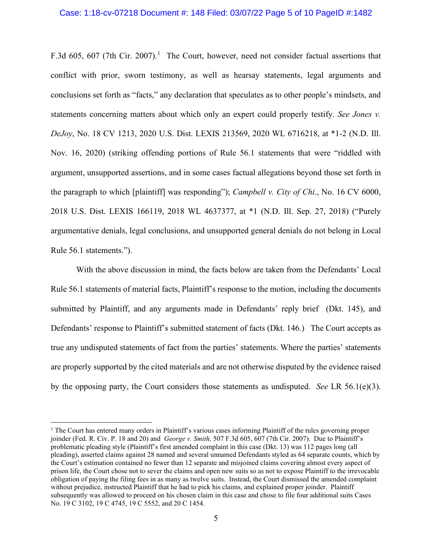#### Case: 1:18-cv-07218 Document #: 148 Filed: 03/07/22 Page 5 of 10 PageID #:1482

F.3d 605, 607 (7th Cir. 2007).<sup>[1](#page-4-0)</sup> The Court, however, need not consider factual assertions that conflict with prior, sworn testimony, as well as hearsay statements, legal arguments and conclusions set forth as "facts," any declaration that speculates as to other people's mindsets, and statements concerning matters about which only an expert could properly testify. *See Jones v. DeJoy*, No. 18 CV 1213, 2020 U.S. Dist. LEXIS 213569, 2020 WL 6716218, at \*1-2 (N.D. Ill. Nov. 16, 2020) (striking offending portions of Rule 56.1 statements that were "riddled with argument, unsupported assertions, and in some cases factual allegations beyond those set forth in the paragraph to which [plaintiff] was responding"); *Campbell v. City of Chi*., No. 16 CV 6000, 2018 U.S. Dist. LEXIS 166119, 2018 WL 4637377, at \*1 (N.D. Ill. Sep. 27, 2018) ("Purely argumentative denials, legal conclusions, and unsupported general denials do not belong in Local Rule 56.1 statements.").

With the above discussion in mind, the facts below are taken from the Defendants' Local Rule 56.1 statements of material facts, Plaintiff's response to the motion, including the documents submitted by Plaintiff, and any arguments made in Defendants' reply brief (Dkt. 145), and Defendants' response to Plaintiff's submitted statement of facts (Dkt. 146.) The Court accepts as true any undisputed statements of fact from the parties' statements. Where the parties' statements are properly supported by the cited materials and are not otherwise disputed by the evidence raised by the opposing party, the Court considers those statements as undisputed. *See* LR 56.1(e)(3).

<span id="page-4-0"></span><sup>&</sup>lt;sup>1</sup> The Court has entered many orders in Plaintiff's various cases informing Plaintiff of the rules governing proper joinder (Fed. R. Civ. P. 18 and 20) and *George v. Smith,* 507 F.3d 605, 607 (7th Cir. 2007). Due to Plaintiff's problematic pleading style (Plaintiff's first amended complaint in this case (Dkt. 13) was 112 pages long (all pleading), asserted claims against 28 named and several unnamed Defendants styled as 64 separate counts, which by the Court's estimation contained no fewer than 12 separate and misjoined claims covering almost every aspect of prison life, the Court chose not to sever the claims and open new suits so as not to expose Plaintiff to the irrevocable obligation of paying the filing fees in as many as twelve suits. Instead, the Court dismissed the amended complaint without prejudice, instructed Plaintiff that he had to pick his claims, and explained proper joinder. Plaintiff subsequently was allowed to proceed on his chosen claim in this case and chose to file four additional suits Cases No. 19 C 3102, 19 C 4745, 19 C 5552, and 20 C 1454.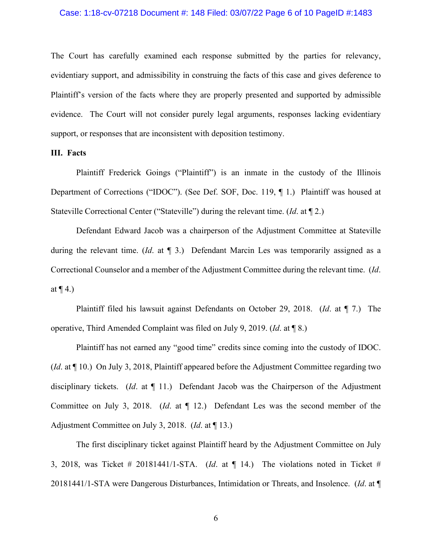#### Case: 1:18-cv-07218 Document #: 148 Filed: 03/07/22 Page 6 of 10 PageID #:1483

The Court has carefully examined each response submitted by the parties for relevancy, evidentiary support, and admissibility in construing the facts of this case and gives deference to Plaintiff's version of the facts where they are properly presented and supported by admissible evidence. The Court will not consider purely legal arguments, responses lacking evidentiary support, or responses that are inconsistent with deposition testimony.

### **III. Facts**

Plaintiff Frederick Goings ("Plaintiff") is an inmate in the custody of the Illinois Department of Corrections ("IDOC"). (See Def. SOF, Doc. 119, ¶ 1.) Plaintiff was housed at Stateville Correctional Center ("Stateville") during the relevant time. (*Id*. at ¶ 2.)

Defendant Edward Jacob was a chairperson of the Adjustment Committee at Stateville during the relevant time. (*Id*. at ¶ 3.) Defendant Marcin Les was temporarily assigned as a Correctional Counselor and a member of the Adjustment Committee during the relevant time. (*Id*. at  $\P$  4.)

Plaintiff filed his lawsuit against Defendants on October 29, 2018. (*Id*. at ¶ 7.) The operative, Third Amended Complaint was filed on July 9, 2019. (*Id*. at ¶ 8.)

Plaintiff has not earned any "good time" credits since coming into the custody of IDOC. (*Id*. at ¶ 10.) On July 3, 2018, Plaintiff appeared before the Adjustment Committee regarding two disciplinary tickets. (*Id*. at ¶ 11.) Defendant Jacob was the Chairperson of the Adjustment Committee on July 3, 2018. (*Id*. at ¶ 12.) Defendant Les was the second member of the Adjustment Committee on July 3, 2018. (*Id*. at ¶ 13.)

The first disciplinary ticket against Plaintiff heard by the Adjustment Committee on July 3, 2018, was Ticket # 20181441/1-STA. (*Id*. at ¶ 14.) The violations noted in Ticket # 20181441/1-STA were Dangerous Disturbances, Intimidation or Threats, and Insolence. (*Id*. at ¶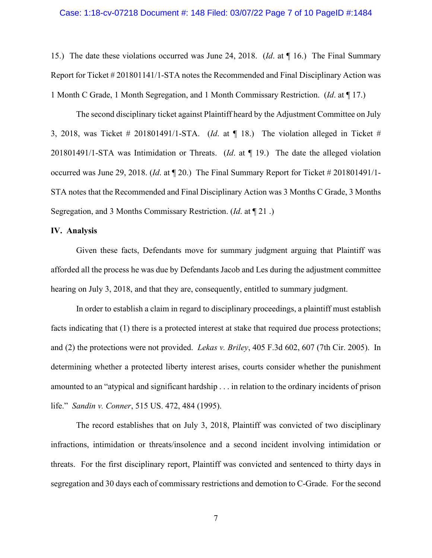#### Case: 1:18-cv-07218 Document #: 148 Filed: 03/07/22 Page 7 of 10 PageID #:1484

15.) The date these violations occurred was June 24, 2018. (*Id*. at ¶ 16.) The Final Summary Report for Ticket # 201801141/1-STA notes the Recommended and Final Disciplinary Action was 1 Month C Grade, 1 Month Segregation, and 1 Month Commissary Restriction. (*Id*. at ¶ 17.)

The second disciplinary ticket against Plaintiff heard by the Adjustment Committee on July 3, 2018, was Ticket # 201801491/1-STA. (*Id*. at ¶ 18.) The violation alleged in Ticket # 201801491/1-STA was Intimidation or Threats. (*Id*. at ¶ 19.) The date the alleged violation occurred was June 29, 2018. (*Id*. at ¶ 20.) The Final Summary Report for Ticket # 201801491/1- STA notes that the Recommended and Final Disciplinary Action was 3 Months C Grade, 3 Months Segregation, and 3 Months Commissary Restriction. (*Id*. at ¶ 21 .)

# **IV. Analysis**

Given these facts, Defendants move for summary judgment arguing that Plaintiff was afforded all the process he was due by Defendants Jacob and Les during the adjustment committee hearing on July 3, 2018, and that they are, consequently, entitled to summary judgment.

In order to establish a claim in regard to disciplinary proceedings, a plaintiff must establish facts indicating that (1) there is a protected interest at stake that required due process protections; and (2) the protections were not provided. *Lekas v. Briley*, 405 F.3d 602, 607 (7th Cir. 2005). In determining whether a protected liberty interest arises, courts consider whether the punishment amounted to an "atypical and significant hardship . . . in relation to the ordinary incidents of prison life." *Sandin v. Conner*, 515 US. 472, 484 (1995).

The record establishes that on July 3, 2018, Plaintiff was convicted of two disciplinary infractions, intimidation or threats/insolence and a second incident involving intimidation or threats. For the first disciplinary report, Plaintiff was convicted and sentenced to thirty days in segregation and 30 days each of commissary restrictions and demotion to C-Grade. For the second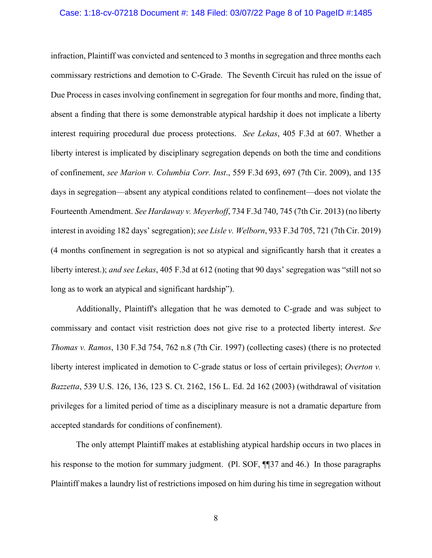#### Case: 1:18-cv-07218 Document #: 148 Filed: 03/07/22 Page 8 of 10 PageID #:1485

infraction, Plaintiff was convicted and sentenced to 3 months in segregation and three months each commissary restrictions and demotion to C-Grade. The Seventh Circuit has ruled on the issue of Due Process in cases involving confinement in segregation for four months and more, finding that, absent a finding that there is some demonstrable atypical hardship it does not implicate a liberty interest requiring procedural due process protections. *See Lekas*, 405 F.3d at 607. Whether a liberty interest is implicated by disciplinary segregation depends on both the time and conditions of confinement, *see Marion v. Columbia Corr. Inst*., 559 F.3d 693, 697 (7th Cir. 2009), and 135 days in segregation—absent any atypical conditions related to confinement—does not violate the Fourteenth Amendment. *See Hardaway v. Meyerhoff*, 734 F.3d 740, 745 (7th Cir. 2013) (no liberty interest in avoiding 182 days' segregation); *see Lisle v. Welborn*, 933 F.3d 705, 721 (7th Cir. 2019) (4 months confinement in segregation is not so atypical and significantly harsh that it creates a liberty interest.); *and see Lekas*, 405 F.3d at 612 (noting that 90 days' segregation was "still not so long as to work an atypical and significant hardship").

Additionally, Plaintiff's allegation that he was demoted to C-grade and was subject to commissary and contact visit restriction does not give rise to a protected liberty interest. *See Thomas v. Ramos*, 130 F.3d 754, 762 n.8 (7th Cir. 1997) (collecting cases) (there is no protected liberty interest implicated in demotion to C-grade status or loss of certain privileges); *Overton v. Bazzetta*, 539 U.S. 126, 136, 123 S. Ct. 2162, 156 L. Ed. 2d 162 (2003) (withdrawal of visitation privileges for a limited period of time as a disciplinary measure is not a dramatic departure from accepted standards for conditions of confinement).

The only attempt Plaintiff makes at establishing atypical hardship occurs in two places in his response to the motion for summary judgment. (Pl. SOF,  $\P$ ] [137 and 46.) In those paragraphs Plaintiff makes a laundry list of restrictions imposed on him during his time in segregation without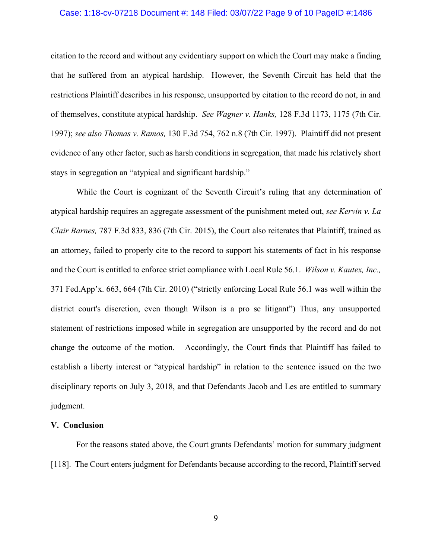#### Case: 1:18-cv-07218 Document #: 148 Filed: 03/07/22 Page 9 of 10 PageID #:1486

citation to the record and without any evidentiary support on which the Court may make a finding that he suffered from an atypical hardship. However, the Seventh Circuit has held that the restrictions Plaintiff describes in his response, unsupported by citation to the record do not, in and of themselves, constitute atypical hardship. *See Wagner v. Hanks,* 128 F.3d 1173, 1175 (7th Cir. 1997); *see also Thomas v. Ramos,* 130 F.3d 754, 762 n.8 (7th Cir. 1997). Plaintiff did not present evidence of any other factor, such as harsh conditions in segregation, that made his relatively short stays in segregation an "atypical and significant hardship."

While the Court is cognizant of the Seventh Circuit's ruling that any determination of atypical hardship requires an aggregate assessment of the punishment meted out, *see Kervin v. La Clair Barnes,* 787 F.3d 833, 836 (7th Cir. 2015), the Court also reiterates that Plaintiff, trained as an attorney, failed to properly cite to the record to support his statements of fact in his response and the Court is entitled to enforce strict compliance with Local Rule 56.1. *Wilson v. Kautex, Inc.,* 371 Fed.App'x. 663, 664 (7th Cir. 2010) ("strictly enforcing Local Rule 56.1 was well within the district court's discretion, even though Wilson is a pro se litigant") Thus, any unsupported statement of restrictions imposed while in segregation are unsupported by the record and do not change the outcome of the motion. Accordingly, the Court finds that Plaintiff has failed to establish a liberty interest or "atypical hardship" in relation to the sentence issued on the two disciplinary reports on July 3, 2018, and that Defendants Jacob and Les are entitled to summary judgment.

## **V. Conclusion**

For the reasons stated above, the Court grants Defendants' motion for summary judgment [118]. The Court enters judgment for Defendants because according to the record, Plaintiff served